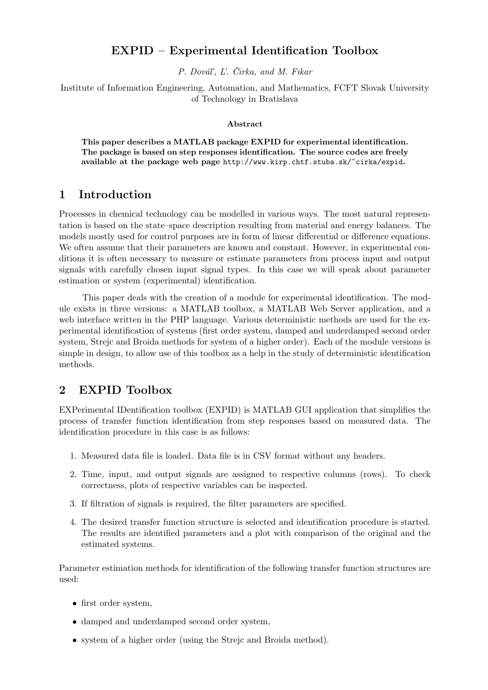# EXPID – Experimental Identification Toolbox

P. Dováľ, L'. Čirka, and M. Fikar

Institute of Information Engineering, Automation, and Mathematics, FCFT Slovak University of Technology in Bratislava

#### Abstract

This paper describes a MATLAB package EXPID for experimental identification. The package is based on step responses identification. The source codes are freely available at the package web page http://www.kirp.chtf.stuba.sk/~cirka/expid.

## 1 Introduction

Processes in chemical technology can be modelled in various ways. The most natural representation is based on the state–space description resulting from material and energy balances. The models mostly used for control purposes are in form of linear differential or difference equations. We often assume that their parameters are known and constant. However, in experimental conditions it is often necessary to measure or estimate parameters from process input and output signals with carefully chosen input signal types. In this case we will speak about parameter estimation or system (experimental) identification.

This paper deals with the creation of a module for experimental identification. The module exists in three versions: a MATLAB toolbox, a MATLAB Web Server application, and a web interface written in the PHP language. Various deterministic methods are used for the experimental identification of systems (first order system, damped and underdamped second order system, Strejc and Broida methods for system of a higher order). Each of the module versions is simple in design, to allow use of this toolbox as a help in the study of deterministic identification methods.

## 2 EXPID Toolbox

EXPerimental IDentification toolbox (EXPID) is MATLAB GUI application that simplifies the process of transfer function identification from step responses based on measured data. The identification procedure in this case is as follows:

- 1. Measured data file is loaded. Data file is in CSV format without any headers.
- 2. Time, input, and output signals are assigned to respective columns (rows). To check correctness, plots of respective variables can be inspected.
- 3. If filtration of signals is required, the filter parameters are specified.
- 4. The desired transfer function structure is selected and identification procedure is started. The results are identified parameters and a plot with comparison of the original and the estimated systems.

Parameter estimation methods for identification of the following transfer function structures are used:

- first order system,
- damped and underdamped second order system,
- system of a higher order (using the Strejc and Broida method).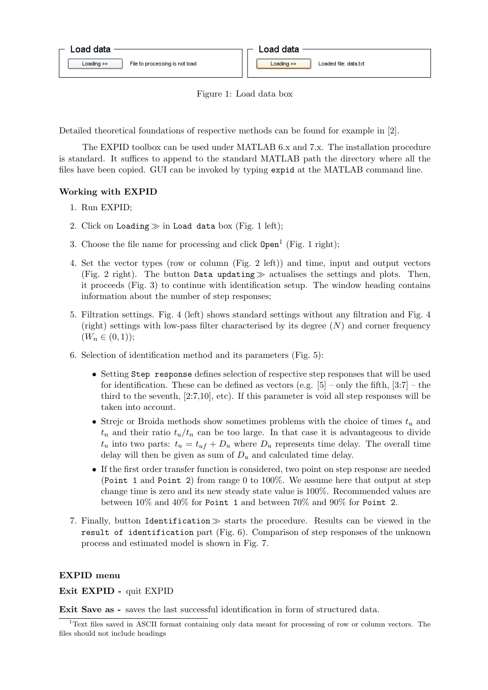



Detailed theoretical foundations of respective methods can be found for example in [2].

The EXPID toolbox can be used under MATLAB 6.x and 7.x. The installation procedure is standard. It suffices to append to the standard MATLAB path the directory where all the files have been copied. GUI can be invoked by typing expid at the MATLAB command line.

#### Working with EXPID

- 1. Run EXPID;
- 2. Click on Loading  $\gg$  in Load data box (Fig. 1 left);
- 3. Choose the file name for processing and click  $Open<sup>1</sup>$  (Fig. 1 right);
- 4. Set the vector types (row or column (Fig. 2 left)) and time, input and output vectors (Fig. 2 right). The button Data updating  $\gg$  actualises the settings and plots. Then, it proceeds (Fig. 3) to continue with identification setup. The window heading contains information about the number of step responses;
- 5. Filtration settings. Fig. 4 (left) shows standard settings without any filtration and Fig. 4 (right) settings with low-pass filter characterised by its degree  $(N)$  and corner frequency  $(W_n \in (0,1));$
- 6. Selection of identification method and its parameters (Fig. 5):
	- Setting Step response defines selection of respective step responses that will be used for identification. These can be defined as vectors (e.g.  $[5]$  – only the fifth,  $[3:7]$  – the third to the seventh, [2:7,10], etc). If this parameter is void all step responses will be taken into account.
	- Strejc or Broida methods show sometimes problems with the choice of times  $t_u$  and  $t_n$  and their ratio  $t_u/t_n$  can be too large. In that case it is advantageous to divide  $t_u$  into two parts:  $t_u = t_{uf} + D_u$  where  $D_u$  represents time delay. The overall time delay will then be given as sum of  $D_u$  and calculated time delay.
	- If the first order transfer function is considered, two point on step response are needed (Point 1 and Point 2) from range 0 to 100%. We assume here that output at step change time is zero and its new steady state value is 100%. Recommended values are between 10% and 40% for Point 1 and between 70% and 90% for Point 2.
- 7. Finally, button Identification  $\gg$  starts the procedure. Results can be viewed in the result of identification part (Fig. 6). Comparison of step responses of the unknown process and estimated model is shown in Fig. 7.

#### EXPID menu

Exit EXPID - quit EXPID

Exit Save as - saves the last successful identification in form of structured data.

 $1$ <sup>1</sup>Text files saved in ASCII format containing only data meant for processing of row or column vectors. The files should not include headings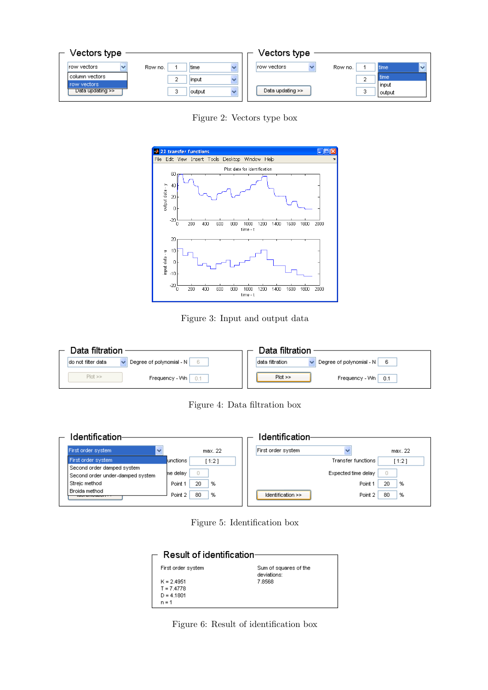| Vectors type                      |                 | Vectors type                                    |
|-----------------------------------|-----------------|-------------------------------------------------|
|                                   |                 |                                                 |
| row vectors                       | Row no.<br>time | Irow vectors<br>Row no.<br>Itime                |
| l column vectors i<br>row vectors | input           | time                                            |
| Data updating >>                  | output          | <b>input</b><br>Data updating >><br>o<br>output |
|                                   |                 |                                                 |

Figure 2: Vectors type box



Figure 3: Input and output data

| Data filtration          | Data filtration          |
|--------------------------|--------------------------|
| Degree of polynomial - N | Degree of polynomial - N |
| 6.                       | data filtration          |
| ldo not filter data      | - 6                      |
| $Plot \gg$               | $Plot \gg$               |
| Frequency - Wn I         | Frequency - Wn           |
| $-0.1$                   | 0.1                      |

Figure 4: Data filtration box

| Identification-                                                |                    | Identification                  |         |
|----------------------------------------------------------------|--------------------|---------------------------------|---------|
| First order system<br>$\checkmark$                             | max. 22            | First order system              | max.22  |
| First order system                                             | lunctions<br>1:21  | Transfer functions              | 11:21   |
| Second order damped system<br>Second order under-damped system | he delay<br>0      | Expected time delay             |         |
| Strejc method                                                  | 20<br>%<br>Point 1 | Point 1                         | 20<br>% |
| Broida method<br><del>monumental</del>                         | 80<br>%<br>Point 2 | Identification $\gg$<br>Point 2 | 80<br>% |

Figure 5: Identification box

| Result of identification∈    |                                      |  |  |
|------------------------------|--------------------------------------|--|--|
| First order system           | Sum of squares of the<br>deviations: |  |  |
| $K = 2.4951$<br>$T = 7.4778$ | 7.8568                               |  |  |
| $D = 4.1801$<br>$n = 1$      |                                      |  |  |

Figure 6: Result of identification box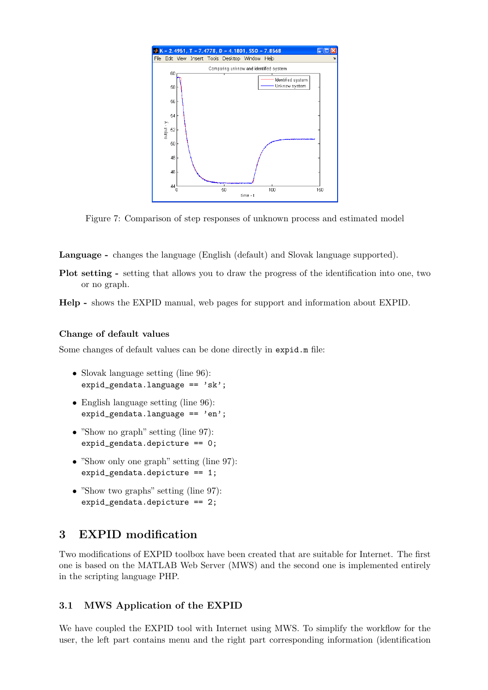

Figure 7: Comparison of step responses of unknown process and estimated model

Language - changes the language (English (default) and Slovak language supported).

Plot setting - setting that allows you to draw the progress of the identification into one, two or no graph.

Help - shows the EXPID manual, web pages for support and information about EXPID.

#### Change of default values

Some changes of default values can be done directly in expid.m file:

- Slovak language setting (line 96): expid gendata.language  $== 'sk':$
- English language setting (line 96): expid\_gendata.language ==  $'en$ ;
- "Show no graph" setting (line 97): expid\_gendata.depicture == 0;
- "Show only one graph" setting (line 97): expid\_gendata.depicture == 1;
- "Show two graphs" setting (line 97): expid\_gendata.depicture == 2;

# 3 EXPID modification

Two modifications of EXPID toolbox have been created that are suitable for Internet. The first one is based on the MATLAB Web Server (MWS) and the second one is implemented entirely in the scripting language PHP.

#### 3.1 MWS Application of the EXPID

We have coupled the EXPID tool with Internet using MWS. To simplify the workflow for the user, the left part contains menu and the right part corresponding information (identification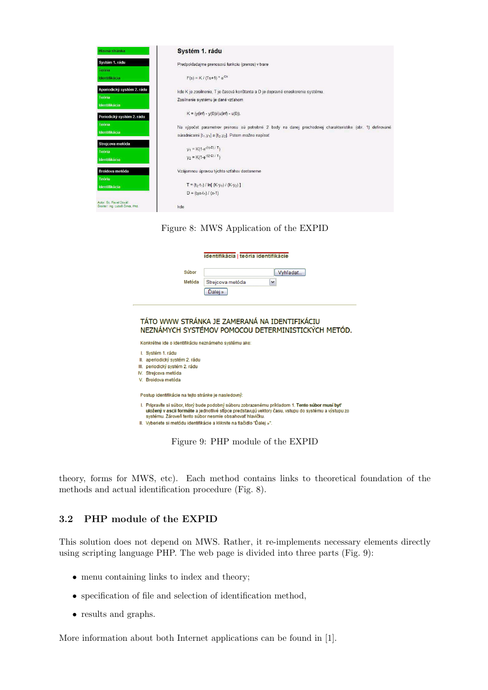| Hlavná stránka                                             | Systém 1. rádu                                                                                                                                                                                                        |
|------------------------------------------------------------|-----------------------------------------------------------------------------------------------------------------------------------------------------------------------------------------------------------------------|
| Systém 1. rádu<br>Teória                                   | Predpokladajme prenosovú funkciu (prenos) v tvare                                                                                                                                                                     |
| ldentifikácia                                              | $F(s) = K / (Ts+1) * e^{-Ds}$                                                                                                                                                                                         |
| Aperiodický systém 2. rádu<br><b>Teória</b>                | kde K je zosilnenie. T je časová konštanta a D je dopravné oneskorenie systému.<br>Zosilnenie systému je dané vzťahom                                                                                                 |
| <b>Identifikácia</b><br>Periodický systém 2. rádu          | $K = (y(int) - y(0))/(u(int) - u(0)).$                                                                                                                                                                                |
| Teória<br>Identifikácia                                    | Na výpočet parametrov prenosu sú potrebné 2 body na danej prechodovej charakteristike (obr. 1) definované<br>súradnicami [t <sub>1</sub> , y <sub>1</sub> ] a [t <sub>2</sub> , y <sub>2</sub> ]. Potom možno napísať |
| Strejcova metóda<br>Teória<br>Identifikácia                | $y_1 = K(1-e^{-(t_1-D)/T})$<br>$y_2 = K(1-e^{-(t_2-D)/T})$                                                                                                                                                            |
| Broidova metóda                                            | Vzájomnou úpravou týchto vzťahov dostaneme                                                                                                                                                                            |
| <b>Teória</b><br>Identifikácia                             | $T = (t_2-t_1) / ln[(K-y_1) / (K-y_2)]$                                                                                                                                                                               |
| Autor: Bo. Pavel Doval<br>Školiteľ: Ing. Ľuboš Čirka, Phd. | $D = (t_2x-t_1) / (x-1)$<br>kde                                                                                                                                                                                       |

#### Figure 8: MWS Application of the EXPID

|                                                                                                                                     | identifikácia   teória identifikácie                                                                                                                                                                                                                                                                                                          |  |  |  |
|-------------------------------------------------------------------------------------------------------------------------------------|-----------------------------------------------------------------------------------------------------------------------------------------------------------------------------------------------------------------------------------------------------------------------------------------------------------------------------------------------|--|--|--|
| Súbor                                                                                                                               | Vyhľadať                                                                                                                                                                                                                                                                                                                                      |  |  |  |
| Metóda                                                                                                                              | Strejcova metóda<br>٧<br>Dalei »                                                                                                                                                                                                                                                                                                              |  |  |  |
| TÁTO WWW STRÁNKA JE ZAMERANÁ NA IDENTIFIKÁCIU<br>NEZNÁMYCH SYSTÉMOV POMOCOU DETERMINISTICKÝCH METÓD                                 |                                                                                                                                                                                                                                                                                                                                               |  |  |  |
| Konkrétne ide o identifikáciu neznámeho systému ako:                                                                                |                                                                                                                                                                                                                                                                                                                                               |  |  |  |
| I. Systém 1. rádu<br>II. aperiodický systém 2. rádu<br>III. periodický systém 2. rádu<br>IV. Streicova metóda<br>V. Broidova metóda |                                                                                                                                                                                                                                                                                                                                               |  |  |  |
| Postup identifikácie na tejto stránke je nasledovný:                                                                                |                                                                                                                                                                                                                                                                                                                                               |  |  |  |
|                                                                                                                                     | I. Pripravíte si súbor, ktorý bude podobný súboru zobrazenému príkladom 1. Tento súbor musí byť<br>uložený v ascii formáte a jednotlivé stĺpce predstavujú vektory času, vstupu do systému a výstupu zo<br>systému. Zároveň tento súbor nesmie obsahovať hlavičku.<br>II. Vyberiete si metódu identifikácie a kliknite na tlačidlo "Ďalei »". |  |  |  |
|                                                                                                                                     |                                                                                                                                                                                                                                                                                                                                               |  |  |  |

Figure 9: PHP module of the EXPID

theory, forms for MWS, etc). Each method contains links to theoretical foundation of the methods and actual identification procedure (Fig. 8).

### 3.2 PHP module of the EXPID

This solution does not depend on MWS. Rather, it re-implements necessary elements directly using scripting language PHP. The web page is divided into three parts (Fig. 9):

- menu containing links to index and theory;
- specification of file and selection of identification method,
- results and graphs.

More information about both Internet applications can be found in [1].